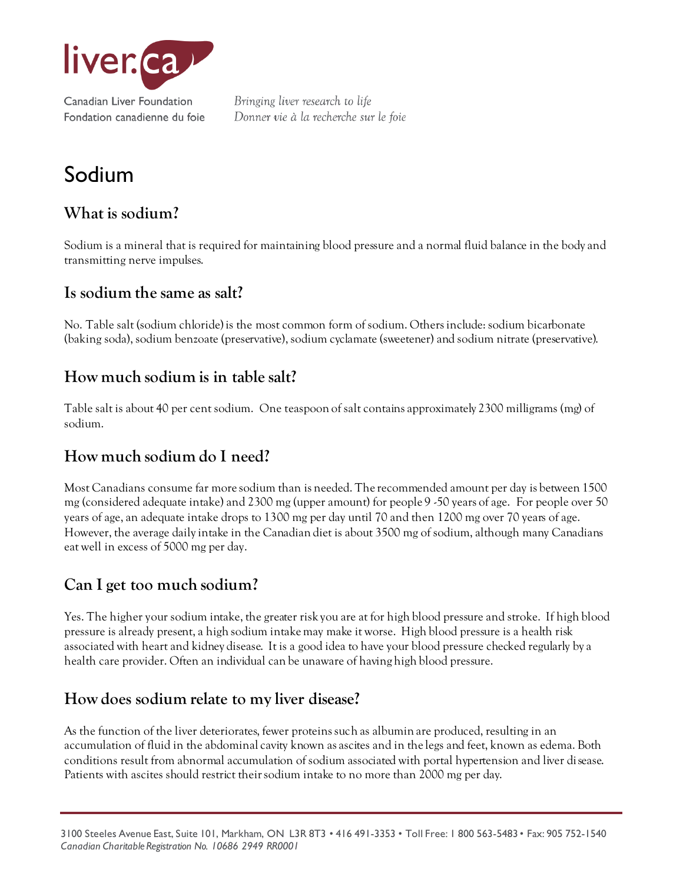

# Sodium

## **What is sodium?**

Sodium is a mineral that is required for maintaining blood pressure and a normal fluid balance in the body and transmitting nerve impulses.

#### **Is sodium the same as salt?**

No. Table salt (sodium chloride) is the most common form of sodium. Others include: sodium bicarbonate (baking soda), sodium benzoate (preservative), sodium cyclamate (sweetener) and sodium nitrate (preservative).

#### **How much sodium is in table salt?**

Table salt is about 40 per cent sodium. One teaspoon of salt contains approximately 2300 milligrams (mg) of sodium.

#### **How much sodium do I need?**

Most Canadians consume far more sodium than is needed. The recommended amount per day is between 1500 mg (considered adequate intake) and 2300 mg (upper amount) for people 9 -50 years of age. For people over 50 years of age, an adequate intake drops to 1300 mg per day until 70 and then 1200 mg over 70 years of age. However, the average daily intake in the Canadian diet is about 3500 mg of sodium, although many Canadians eat well in excess of 5000 mg per day.

## **Can I get too much sodium?**

Yes. The higher your sodium intake, the greater risk you are at for high blood pressure and stroke. If high blood pressure is already present, a high sodium intake may make it worse. High blood pressure is a health risk associated with heart and kidney disease. It is a good idea to have your blood pressure checked regularly by a health care provider. Often an individual can be unaware of having high blood pressure.

#### **How does sodium relate to my liver disease?**

As the function of the liver deteriorates, fewer proteins such as albumin are produced, resulting in an accumulation of fluid in the abdominal cavity known as ascites and in the legs and feet, known as edema. Both conditions result from abnormal accumulation of sodium associated with portal hypertension and liver disease. Patients with ascites should restrict their sodium intake to no more than 2000 mg per day.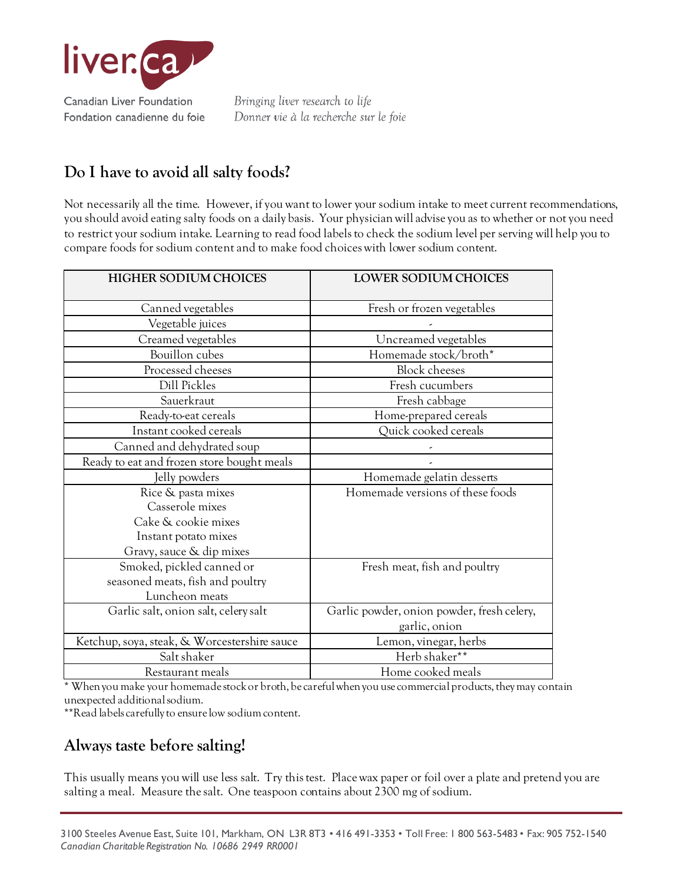

## **Do I have to avoid all salty foods?**

Not necessarily all the time. However, if you want to lower your sodium intake to meet current recommendations, you should avoid eating salty foods on a daily basis. Your physician will advise you as to whether or not you need to restrict your sodium intake. Learning to read food labels to check the sodium level per serving will help you to compare foods for sodium content and to make food choices with lower sodium content.

| HIGHER SODIUM CHOICES                        | LOWER SODIUM CHOICES                       |  |
|----------------------------------------------|--------------------------------------------|--|
| Canned vegetables                            | Fresh or frozen vegetables                 |  |
| Vegetable juices                             |                                            |  |
| Creamed vegetables                           | Uncreamed vegetables                       |  |
| Bouillon cubes                               | Homemade stock/broth*                      |  |
| Processed cheeses                            | <b>Block</b> cheeses                       |  |
| Dill Pickles                                 | Fresh cucumbers                            |  |
| Sauerkraut                                   | Fresh cabbage                              |  |
| Ready-to-eat cereals                         | Home-prepared cereals                      |  |
| Instant cooked cereals                       | Quick cooked cereals                       |  |
| Canned and dehydrated soup                   |                                            |  |
| Ready to eat and frozen store bought meals   |                                            |  |
| Jelly powders                                | Homemade gelatin desserts                  |  |
| Rice & pasta mixes                           | Homemade versions of these foods           |  |
| Casserole mixes                              |                                            |  |
| Cake & cookie mixes                          |                                            |  |
| Instant potato mixes                         |                                            |  |
| Gravy, sauce & dip mixes                     |                                            |  |
| Smoked, pickled canned or                    | Fresh meat, fish and poultry               |  |
| seasoned meats, fish and poultry             |                                            |  |
| Luncheon meats                               |                                            |  |
| Garlic salt, onion salt, celery salt         | Garlic powder, onion powder, fresh celery, |  |
|                                              | garlic, onion                              |  |
| Ketchup, soya, steak, & Worcestershire sauce | Lemon, vinegar, herbs                      |  |
| Salt shaker                                  | Herb shaker**                              |  |
| Restaurant meals                             | Home cooked meals                          |  |

\* When you make your homemade stock or broth, be careful when you use commercial products, they may contain unexpected additional sodium.

\*\*Read labels carefully to ensure low sodium content.

#### **Always taste before salting!**

This usually means you will use less salt. Try this test. Place wax paper or foil over a plate and pretend you are salting a meal. Measure the salt. One teaspoon contains about 2300 mg of sodium.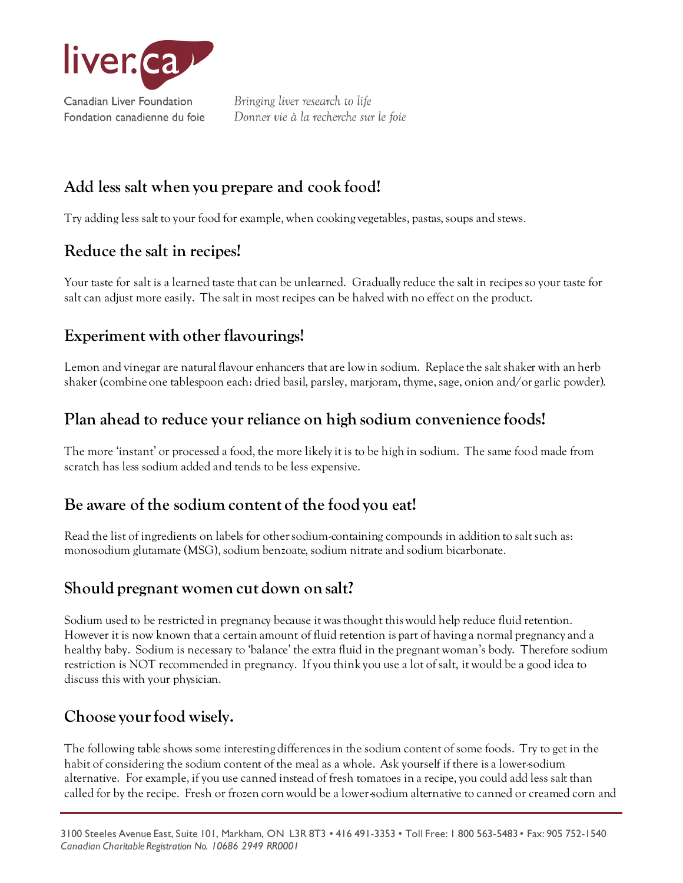

## **Add less salt when you prepare and cook food!**

Try adding less salt to your food for example, when cooking vegetables, pastas, soups and stews.

#### **Reduce the salt in recipes!**

Your taste for salt is a learned taste that can be unlearned. Gradually reduce the salt in recipes so your taste for salt can adjust more easily. The salt in most recipes can be halved with no effect on the product.

## **Experiment with other flavourings!**

Lemon and vinegar are natural flavour enhancers that are low in sodium. Replace the salt shaker with an herb shaker (combine one tablespoon each: dried basil, parsley, marjoram, thyme, sage, onion and/or garlic powder).

## **Plan ahead to reduce your reliance on high sodium convenience foods!**

The more 'instant' or processed a food, the more likely it is to be high in sodium. The same food made from scratch has less sodium added and tends to be less expensive.

# **Be aware of the sodium content of the food you eat!**

Read the list of ingredients on labels for other sodium-containing compounds in addition to salt such as: monosodium glutamate (MSG), sodium benzoate, sodium nitrate and sodium bicarbonate.

## **Should pregnant women cut down on salt?**

Sodium used to be restricted in pregnancy because it was thought this would help reduce fluid retention. However it is now known that a certain amount of fluid retention is part of having a normal pregnancy and a healthy baby. Sodium is necessary to 'balance' the extra fluid in the pregnant woman's body. Therefore sodium restriction is NOT recommended in pregnancy. If you think you use a lot of salt, it would be a good idea to discuss this with your physician.

# **Choose your food wisely.**

The following table shows some interesting differences in the sodium content of some foods. Try to get in the habit of considering the sodium content of the meal as a whole. Ask yourself if there is a lower-sodium alternative. For example, if you use canned instead of fresh tomatoes in a recipe, you could add less salt than called for by the recipe. Fresh or frozen corn would be a lower-sodium alternative to canned or creamed corn and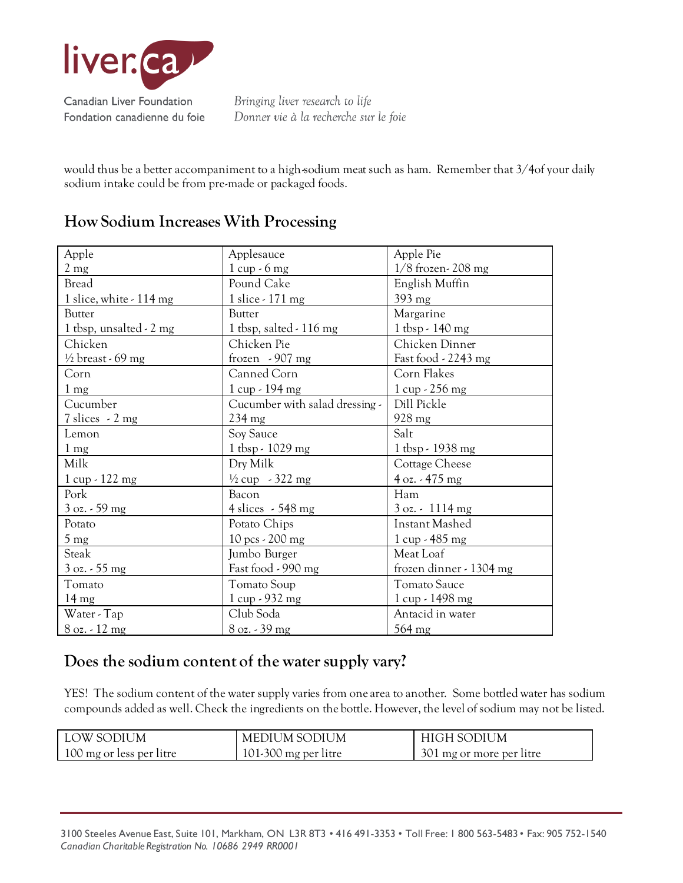

would thus be a better accompaniment to a high-sodium meat such as ham. Remember that 3/4of your daily sodium intake could be from pre-made or packaged foods.

#### **How Sodium Increases With Processing**

| Apple                                | Applesauce                     | Apple Pie                             |
|--------------------------------------|--------------------------------|---------------------------------------|
|                                      |                                | $1/8$ frozen-208 mg                   |
| $2 \text{ mg}$                       | $1 cup - 6 mg$                 |                                       |
| Bread                                | Pound Cake                     | English Muffin                        |
| 1 slice, white - 114 mg              | 1 slice - 171 mg               | 393 mg                                |
| <b>Butter</b>                        | <b>Butter</b>                  | Margarine                             |
| 1 tbsp, unsalted - 2 mg              | 1 tbsp, salted $-116$ mg       | $1$ tbsp - 140 mg                     |
| Chicken                              | Chicken Pie                    | Chicken Dinner                        |
| $\frac{1}{2}$ breast - 69 mg         | frozen $-907$ mg               | Fast food - 2243 mg                   |
| Corn                                 | Canned Corn                    | Corn Flakes                           |
| 1 <sub>mg</sub>                      | $1 cup - 194 mg$               | $1 cup - 256 mg$                      |
| Cucumber                             | Cucumber with salad dressing - | Dill Pickle                           |
| $7 \text{ slices} \sim 2 \text{ mg}$ | $234 \text{ mg}$               | 928 mg                                |
| Lemon                                | Soy Sauce                      | Salt                                  |
| $1 \text{ mg}$                       | 1 tbsp - 1029 mg               | 1 tbsp - 1938 mg                      |
| Milk                                 | Dry Milk                       | Cottage Cheese                        |
| 1 cup - 122 mg                       | $\frac{1}{2}$ cup - 322 mg     | $4 oz. - 475 mg$                      |
| Pork                                 | Bacon                          | Ham                                   |
| $3$ oz. $-59$ mg                     | 4 slices $-548$ mg             | $3 \text{ oz.} \cdot 1114 \text{ mg}$ |
| Potato                               | Potato Chips                   | <b>Instant Mashed</b>                 |
| $5 \text{ mg}$                       | 10 pcs - 200 mg                | 1 cup - 485 mg                        |
| Steak                                | Jumbo Burger                   | Meat Loaf                             |
| $3 oz. - 55 mg$                      | Fast food - 990 mg             | frozen dinner - 1304 mg               |
| Tomato                               | Tomato Soup                    | <b>Tomato Sauce</b>                   |
| $14 \text{ mg}$                      | 1 cup - 932 mg                 | 1 cup - 1498 mg                       |
| Water - Tap                          | Club Soda                      | Antacid in water                      |
| $8$ oz. $-12$ mg                     | 8 oz. - 39 mg                  | $564$ mg                              |

#### **Does the sodium content of the water supply vary?**

YES! The sodium content of the water supply varies from one area to another. Some bottled water has sodium compounds added as well. Check the ingredients on the bottle. However, the level of sodium may not be listed.

| LOW SODIUM               | MEDIUM SODIUM          | HIGH SODIUM              |
|--------------------------|------------------------|--------------------------|
| 100 mg or less per litre | $101-300$ mg per litre | 301 mg or more per litre |